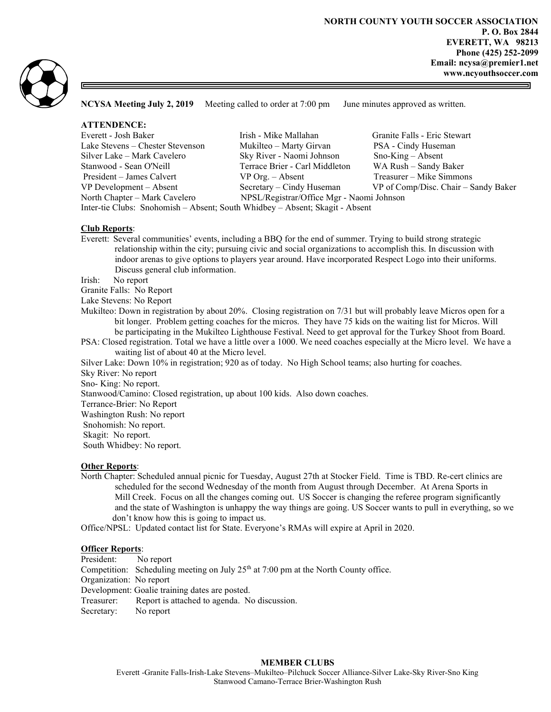

NCYSA Meeting July 2, 2019 Meeting called to order at 7:00 pm June minutes approved as written.

| <b>ATTENDENCE:</b>                                              |                                           |                                      |
|-----------------------------------------------------------------|-------------------------------------------|--------------------------------------|
|                                                                 |                                           |                                      |
| Everett - Josh Baker                                            | Irish - Mike Mallahan                     | Granite Falls - Eric Stewart         |
| Lake Stevens – Chester Stevenson                                | Mukilteo – Marty Girvan                   | PSA - Cindy Huseman                  |
| Silver Lake – Mark Cavelero                                     | Sky River - Naomi Johnson                 | $Sno-King - Absent$                  |
| Stanwood - Sean O'Neill                                         | Terrace Brier - Carl Middleton            | WA Rush - Sandy Baker                |
| President – James Calvert                                       | $VP$ Org. $-$ Absent                      | Treasurer – Mike Simmons             |
| VP Development – Absent                                         | Secretary – Cindy Huseman                 | VP of Comp/Disc. Chair – Sandy Baker |
| North Chapter - Mark Cavelero                                   | NPSL/Registrar/Office Mgr - Naomi Johnson |                                      |
| $T_{i}$ $i'$ $C1.1$ $C1.1$ $11.1$ $iC.1$ $M1'11$ $M1.1$ $iC1.1$ |                                           |                                      |

Inter-tie Clubs: Snohomish – Absent; South Whidbey – Absent; Skagit - Absent

## Club Reports:

Everett: Several communities' events, including a BBQ for the end of summer. Trying to build strong strategic relationship within the city; pursuing civic and social organizations to accomplish this. In discussion with indoor arenas to give options to players year around. Have incorporated Respect Logo into their uniforms. Discuss general club information.

Irish: No report

Granite Falls: No Report

Lake Stevens: No Report

- Mukilteo: Down in registration by about 20%. Closing registration on 7/31 but will probably leave Micros open for a bit longer. Problem getting coaches for the micros. They have 75 kids on the waiting list for Micros. Will be participating in the Mukilteo Lighthouse Festival. Need to get approval for the Turkey Shoot from Board.
- PSA: Closed registration. Total we have a little over a 1000. We need coaches especially at the Micro level. We have a waiting list of about 40 at the Micro level.
- Silver Lake: Down 10% in registration; 920 as of today. No High School teams; also hurting for coaches.

Sky River: No report

Sno- King: No report.

Stanwood/Camino: Closed registration, up about 100 kids. Also down coaches.

Terrance-Brier: No Report

Washington Rush: No report

Snohomish: No report.

Skagit: No report.

South Whidbey: No report.

#### Other Reports:

North Chapter: Scheduled annual picnic for Tuesday, August 27th at Stocker Field. Time is TBD. Re-cert clinics are scheduled for the second Wednesday of the month from August through December. At Arena Sports in Mill Creek. Focus on all the changes coming out. US Soccer is changing the referee program significantly and the state of Washington is unhappy the way things are going. US Soccer wants to pull in everything, so we don't know how this is going to impact us.

Office/NPSL: Updated contact list for State. Everyone's RMAs will expire at April in 2020.

# **Officer Reports:**

President: No report Competition: Scheduling meeting on July  $25<sup>th</sup>$  at 7:00 pm at the North County office. Organization: No report Development: Goalie training dates are posted. Treasurer: Report is attached to agenda. No discussion. Secretary: No report

# MEMBER CLUBS

Everett -Granite Falls-Irish-Lake Stevens–Mukilteo–Pilchuck Soccer Alliance-Silver Lake-Sky River-Sno King Stanwood Camano-Terrace Brier-Washington Rush